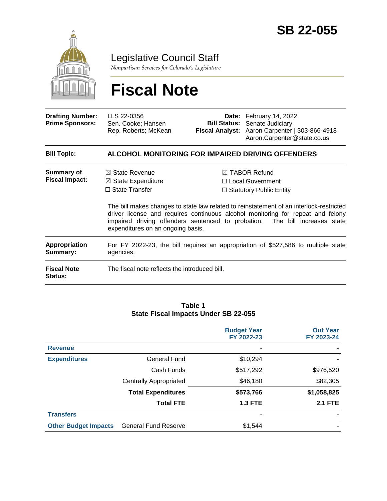

Legislative Council Staff

*Nonpartisan Services for Colorado's Legislature*

# **Fiscal Note**

| <b>Drafting Number:</b><br><b>Prime Sponsors:</b> | LLS 22-0356<br>Sen. Cooke; Hansen<br>Rep. Roberts; McKean                                                                |  | Date: February 14, 2022<br><b>Bill Status:</b> Senate Judiciary<br>Fiscal Analyst: Aaron Carpenter   303-866-4918<br>Aaron.Carpenter@state.co.us                                                                                                                                                                                              |
|---------------------------------------------------|--------------------------------------------------------------------------------------------------------------------------|--|-----------------------------------------------------------------------------------------------------------------------------------------------------------------------------------------------------------------------------------------------------------------------------------------------------------------------------------------------|
| <b>Bill Topic:</b>                                | <b>ALCOHOL MONITORING FOR IMPAIRED DRIVING OFFENDERS</b>                                                                 |  |                                                                                                                                                                                                                                                                                                                                               |
| Summary of<br><b>Fiscal Impact:</b>               | $\boxtimes$ State Revenue<br>$\boxtimes$ State Expenditure<br>$\Box$ State Transfer<br>expenditures on an ongoing basis. |  | $\boxtimes$ TABOR Refund<br>□ Local Government<br>$\Box$ Statutory Public Entity<br>The bill makes changes to state law related to reinstatement of an interlock-restricted<br>driver license and requires continuous alcohol monitoring for repeat and felony<br>impaired driving offenders sentenced to probation. The bill increases state |
| <b>Appropriation</b><br>Summary:                  | For FY 2022-23, the bill requires an appropriation of \$527,586 to multiple state<br>agencies.                           |  |                                                                                                                                                                                                                                                                                                                                               |
| <b>Fiscal Note</b><br><b>Status:</b>              | The fiscal note reflects the introduced bill.                                                                            |  |                                                                                                                                                                                                                                                                                                                                               |

#### **Table 1 State Fiscal Impacts Under SB 22-055**

|                             |                               | <b>Budget Year</b><br>FY 2022-23 | <b>Out Year</b><br>FY 2023-24 |
|-----------------------------|-------------------------------|----------------------------------|-------------------------------|
| <b>Revenue</b>              |                               | ٠                                |                               |
| <b>Expenditures</b>         | <b>General Fund</b>           | \$10,294                         |                               |
|                             | Cash Funds                    | \$517,292                        | \$976,520                     |
|                             | <b>Centrally Appropriated</b> | \$46,180                         | \$82,305                      |
|                             | <b>Total Expenditures</b>     | \$573,766                        | \$1,058,825                   |
|                             | <b>Total FTE</b>              | <b>1.3 FTE</b>                   | <b>2.1 FTE</b>                |
| <b>Transfers</b>            |                               | -                                |                               |
| <b>Other Budget Impacts</b> | <b>General Fund Reserve</b>   | \$1,544                          |                               |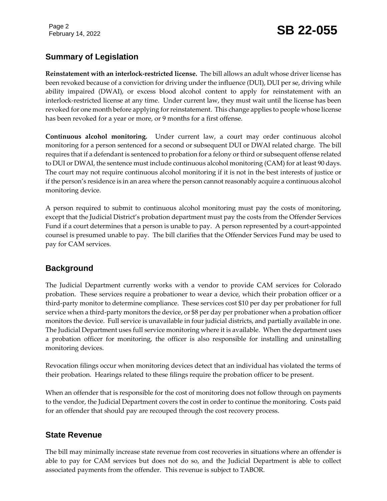# February 14, 2022 **SB 22-055**

## **Summary of Legislation**

**Reinstatement with an interlock-restricted license.** The bill allows an adult whose driver license has been revoked because of a conviction for driving under the influence (DUI), DUI per se, driving while ability impaired (DWAI), or excess blood alcohol content to apply for reinstatement with an interlock-restricted license at any time. Under current law, they must wait until the license has been revoked for one month before applying for reinstatement. This change applies to people whose license has been revoked for a year or more, or 9 months for a first offense.

**Continuous alcohol monitoring.** Under current law, a court may order continuous alcohol monitoring for a person sentenced for a second or subsequent DUI or DWAI related charge. The bill requires that if a defendant is sentenced to probation for a felony or third or subsequent offense related to DUI or DWAI, the sentence must include continuous alcohol monitoring (CAM) for at least 90 days. The court may not require continuous alcohol monitoring if it is not in the best interests of justice or if the person's residence is in an area where the person cannot reasonably acquire a continuous alcohol monitoring device.

A person required to submit to continuous alcohol monitoring must pay the costs of monitoring, except that the Judicial District's probation department must pay the costs from the Offender Services Fund if a court determines that a person is unable to pay. A person represented by a court-appointed counsel is presumed unable to pay. The bill clarifies that the Offender Services Fund may be used to pay for CAM services.

#### **Background**

The Judicial Department currently works with a vendor to provide CAM services for Colorado probation. These services require a probationer to wear a device, which their probation officer or a third-party monitor to determine compliance. These services cost \$10 per day per probationer for full service when a third-party monitors the device, or \$8 per day per probationer when a probation officer monitors the device. Full service is unavailable in four judicial districts, and partially available in one. The Judicial Department uses full service monitoring where it is available. When the department uses a probation officer for monitoring, the officer is also responsible for installing and uninstalling monitoring devices.

Revocation filings occur when monitoring devices detect that an individual has violated the terms of their probation. Hearings related to these filings require the probation officer to be present.

When an offender that is responsible for the cost of monitoring does not follow through on payments to the vendor, the Judicial Department covers the cost in order to continue the monitoring. Costs paid for an offender that should pay are recouped through the cost recovery process.

#### **State Revenue**

The bill may minimally increase state revenue from cost recoveries in situations where an offender is able to pay for CAM services but does not do so, and the Judicial Department is able to collect associated payments from the offender. This revenue is subject to TABOR.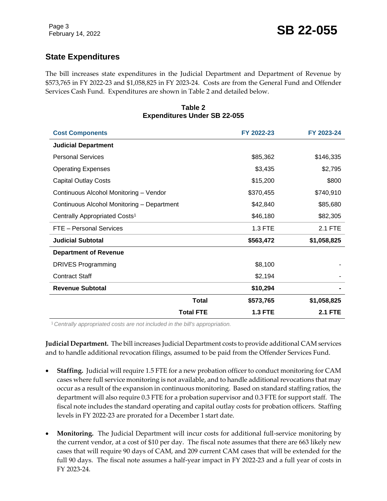#### **State Expenditures**

The bill increases state expenditures in the Judicial Department and Department of Revenue by \$573,765 in FY 2022-23 and \$1,058,825 in FY 2023-24. Costs are from the General Fund and Offender Services Cash Fund. Expenditures are shown in Table 2 and detailed below.

#### **Table 2 Expenditures Under SB 22-055**

| <b>Cost Components</b>                     |                  | FY 2022-23     | FY 2023-24     |
|--------------------------------------------|------------------|----------------|----------------|
| <b>Judicial Department</b>                 |                  |                |                |
| <b>Personal Services</b>                   |                  | \$85,362       | \$146,335      |
| <b>Operating Expenses</b>                  |                  | \$3,435        | \$2,795        |
| <b>Capital Outlay Costs</b>                |                  | \$15,200       | \$800          |
| Continuous Alcohol Monitoring - Vendor     |                  | \$370,455      | \$740,910      |
| Continuous Alcohol Monitoring - Department |                  | \$42,840       | \$85,680       |
| Centrally Appropriated Costs <sup>1</sup>  |                  | \$46,180       | \$82,305       |
| FTE - Personal Services                    |                  | 1.3 FTE        | 2.1 FTE        |
| <b>Judicial Subtotal</b>                   |                  | \$563,472      | \$1,058,825    |
| <b>Department of Revenue</b>               |                  |                |                |
| <b>DRIVES Programming</b>                  |                  | \$8,100        |                |
| <b>Contract Staff</b>                      |                  | \$2,194        |                |
| <b>Revenue Subtotal</b>                    |                  | \$10,294       |                |
|                                            | Total            | \$573,765      | \$1,058,825    |
|                                            | <b>Total FTE</b> | <b>1.3 FTE</b> | <b>2.1 FTE</b> |

<sup>1</sup>*Centrally appropriated costs are not included in the bill's appropriation.*

**Judicial Department.** The bill increases Judicial Department costs to provide additional CAM services and to handle additional revocation filings, assumed to be paid from the Offender Services Fund.

- **Staffing.** Judicial will require 1.5 FTE for a new probation officer to conduct monitoring for CAM cases where full service monitoring is not available, and to handle additional revocations that may occur as a result of the expansion in continuous monitoring. Based on standard staffing ratios, the department will also require 0.3 FTE for a probation supervisor and 0.3 FTE for support staff. The fiscal note includes the standard operating and capital outlay costs for probation officers. Staffing levels in FY 2022-23 are prorated for a December 1 start date.
- **Monitoring.** The Judicial Department will incur costs for additional full-service monitoring by the current vendor, at a cost of \$10 per day. The fiscal note assumes that there are 663 likely new cases that will require 90 days of CAM, and 209 current CAM cases that will be extended for the full 90 days. The fiscal note assumes a half-year impact in FY 2022-23 and a full year of costs in FY 2023-24.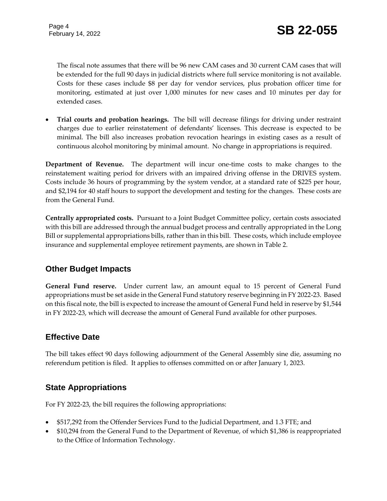The fiscal note assumes that there will be 96 new CAM cases and 30 current CAM cases that will be extended for the full 90 days in judicial districts where full service monitoring is not available. Costs for these cases include \$8 per day for vendor services, plus probation officer time for monitoring, estimated at just over 1,000 minutes for new cases and 10 minutes per day for extended cases.

 **Trial courts and probation hearings.** The bill will decrease filings for driving under restraint charges due to earlier reinstatement of defendants' licenses. This decrease is expected to be minimal. The bill also increases probation revocation hearings in existing cases as a result of continuous alcohol monitoring by minimal amount. No change in appropriations is required.

**Department of Revenue.** The department will incur one-time costs to make changes to the reinstatement waiting period for drivers with an impaired driving offense in the DRIVES system. Costs include 36 hours of programming by the system vendor, at a standard rate of \$225 per hour, and \$2,194 for 40 staff hours to support the development and testing for the changes. These costs are from the General Fund.

**Centrally appropriated costs.** Pursuant to a Joint Budget Committee policy, certain costs associated with this bill are addressed through the annual budget process and centrally appropriated in the Long Bill or supplemental appropriations bills, rather than in this bill. These costs, which include employee insurance and supplemental employee retirement payments, are shown in Table 2.

## **Other Budget Impacts**

**General Fund reserve.** Under current law, an amount equal to 15 percent of General Fund appropriations must be set aside in the General Fund statutory reserve beginning in FY 2022-23. Based on this fiscal note, the bill is expected to increase the amount of General Fund held in reserve by \$1,544 in FY 2022-23, which will decrease the amount of General Fund available for other purposes.

#### **Effective Date**

The bill takes effect 90 days following adjournment of the General Assembly sine die, assuming no referendum petition is filed. It applies to offenses committed on or after January 1, 2023.

#### **State Appropriations**

For FY 2022-23, the bill requires the following appropriations:

- \$517,292 from the Offender Services Fund to the Judicial Department, and 1.3 FTE; and
- \$10,294 from the General Fund to the Department of Revenue, of which \$1,386 is reappropriated to the Office of Information Technology.